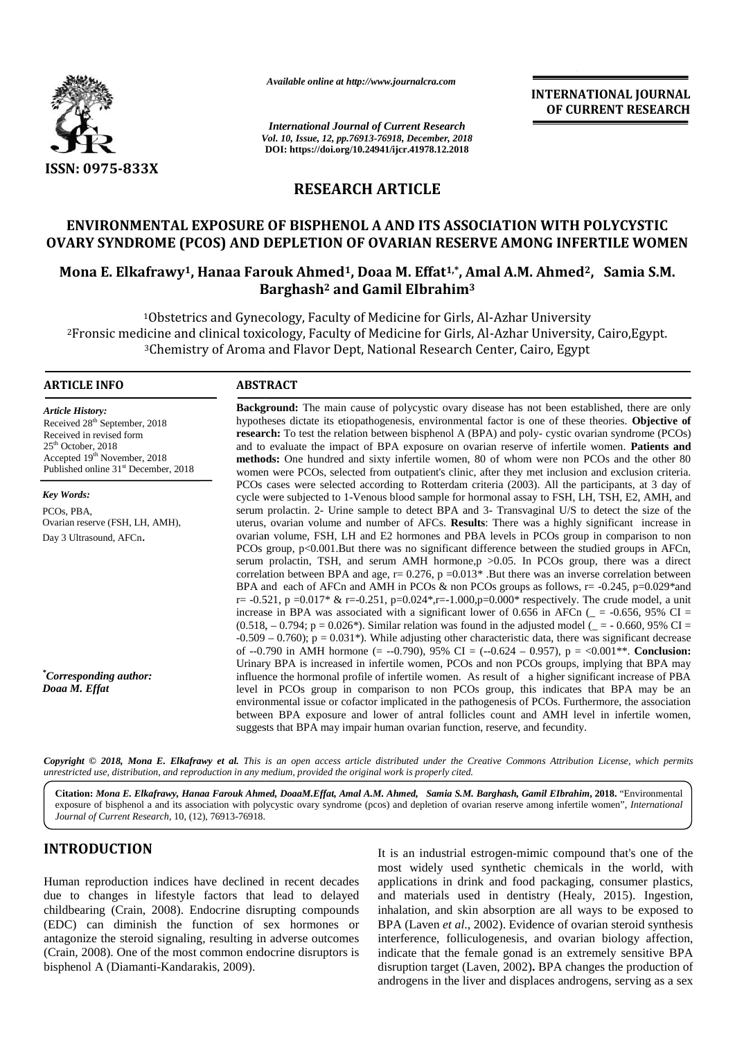

*Available online at http://www.journalcra.com*

*International Journal of Current Research Vol. 10, Issue, 12, pp.76913-76918, December, 2018* **DOI: https://doi.org/10.24941/ijcr.41978.12.2018**

**INTERNATIONAL JOURNAL OF CURRENT RESEARCH**

# **RESEARCH ARTICLE**

## **ENVIRONMENTAL EXPOSURE OF BISPHENOL A AND ITS ASSOCIATION WITH POLYCYSTIC OF BISPHENOL WITH POLYCYSTIC OVARY SYNDROME (PCOS) AND DEPLETION OF OVARIAN RESERVE AMONG INFERTILE WOMEN**

# **Mona E. Elkafrawy1, Hanaa Farouk Ahmed1, Doaa M. Effat1,\*, Amal A.M. Ahmed2, Samia S.M. Barghash<sup>2</sup> and Gamil EIbrahim<sup>3</sup> OVARY SYNDROME (PCOS) AND DEPLETION OF OVARIAN RESERVE AMONG INFERTILE WOMEN<br>Mona E. Elkafrawy<sup>1</sup>, Hanaa Farouk Ahmed<sup>1</sup>, Doaa M. Effat<sup>1,\*</sup>, Amal A.M. Ahmed<sup>2</sup>, Samia S.M.<br>Barghash<sup>2</sup> and Gamil Elbrahim<sup>3</sup>**

<sup>1</sup>Obstetrics and Gynecology, Faculty of Medicine for Girls, Al-Azhar University <sup>2</sup>Fronsic medicine and clinical toxicology, Faculty of Medicine for Girls, Al-Azhar University, Cairo,Egypt. icine and clinical toxicology, Faculty of Medicine for Girls, Al-Azhar University, Cair<br><sup>3</sup>Chemistry of Aroma and Flavor Dept, National Research Center, Cairo, Egypt

#### **ARTICLE INFO ABSTRACT ARTICLE ABSTRACT**

*Article History:* Received 28<sup>th</sup> September, 2018 Received in revised form 25<sup>th</sup> October, 2018  $\text{Accepted } 19^{\text{th}}$  November, 2018 Published online 31<sup>st</sup> December, 2018

*Key Words:* PCOs, PBA, Ovarian reserve (FSH, LH, AMH), Ovarian reserve (FSH, LH, AMI<br>Day 3 Ultrasound, AFCn.

*\*Corresponding author: Doaa M. Effat*

**Background:** The main cause of polycystic ovary disease has not been established, there are only **Background:** The main cause of polycystic ovary disease has not been established, there are only hypotheses dictate its etiopathogenesis, environmental factor is one of these theories. **Objective of research:** To test the relation between bisphenol A (BPA) and poly- cystic ovarian syndrome (PCOs) **research:** To test the relation between bisphenol A (BPA) and poly- cystic ovarian syndrome (PCOs) and to evaluate the impact of BPA exposure on ovarian reserve of infertile women. **Patients and methods:** One hundred and sixty infertile women, 80 of whom were non PCOs and the other 80 women were PCOs, selected from outpatient's clinic, after they met inclusion and exclusion criteria. PCOs cases were selected according to Rotterdam criteria (2003). All the participants, at 3 day of cycle were subjected to 1-Venous blood sample for hormonal assay to FSH, LH, TSH, E2, AMH, and serum prolactin. 2- Urine sample to detect BPA and 3- Transvaginal U/S to detect the size of the uterus, ovarian volume and number of AFCs. **Results**: There was a highly significant increase in ovarian volume, FSH, LH and E2 hormones and PBA levels in PCOs group in comparison to non PCOs group, p<0.001.But there was no significant difference between the studied groups in AFCn, serum prolactin, TSH, and serum AMH hormone,p >0.05. In PCOs group, there was a direct correlation between BPA and age,  $r = 0.276$ ,  $p = 0.013*$ . But there was an inverse correlation between BPA and each of AFCn and AMH in PCOs & non PCOs groups as follows,  $r = -0.245$ ,  $p=0.029*$ and r= -0.521, p =0.017\* & r=-0.251, p=0.024\*,r=-1.000,p=0.000\* respectively. The crude model, a unit increase in BPA was associated with a significant lower of 0.656 in AFCn ( $=$  -0.656, 95% CI =  $(0.518, -0.794; p = 0.026*)$ . Similar relation was found in the adjusted model ( $= -0.660, 95\%$  CI =  $-0.509 - 0.760$ ; p = 0.031<sup>\*</sup>). While adjusting other characteristic data, there was significant decrease of --0.790 in AMH hormone (= --0.790), 95% CI = (--0.624 – 0.957), p = <0.001\*\*. **Conclusion:** Urinary BPA is increased in infertile women, PCOs and non PCOs groups, implying that BPA may influence the hormonal profile of infertile women. As result of a higher significant increase of PBA level in PCOs group in comparison to non PCOs group, this indicates that BPA may be an environmental issue or cofactor implicated in the pathogenesis of PCOs. Furthermore, the association between BPA exposure and lower of antral follicles count and AMH level in infertile women, suggests that BPA may impair human ovarian function, reserve, and fecundity. **methods:** One hundred and sixty infertile women, 80 of whom were non PCOs and the other 80<br>women were PCOs, selected according to Rotterdam criteria. The particulation and exclusion criteria.<br>PCOs cases were selected acc of --0.790 in AMH hormone (= --0.790), 95% CI = (--0.624 – 0.957),  $p = <0.001**$ . **Conclus**<br>Urinary BPA is increased in infertile women, PCOs and non PCOs groups, implying that BPA<br>influence the hormonal profile of infertil **CAPA CONTRACT ACCORDING THE CONTRACT ACCORD AND THE CONTRACT IS CONTRACT RESEARCH<br>
SERVICION NEW YORK SERVIC AND THE CONTRACT ACCORD AND SERVICE AND CONTRACT ACCORD AND SERVICE ON THE CONTRACT ACCORD AND DEPLICITION OF O** FICOs suses were selected from outpuismits climic, after they met inclusion and exclusion critica,<br>
FICOs cases were selected according to Rotterdam criteria (2003). All the participants, at 3 day of<br>
cycle were subjecte Awaitable online at https://www.journalcra.com<br>
You International Journal of Current Resear<br>
You International Journal of Current Resear<br>
You International Journal of Current Resear<br>
You International Journal of Current R *\* Corresponding author*: influence the hormonal profile of infertile women. As result of a higher sign level in PCOs group in comparison to non PCOs group, this indicates environmental issue or cofactor implicated in th **EXERCISE TRANSFERIMENT (SIGNATION 1978)**<br> **EXERCISE TRANSFERIMENT (SIGNATION 1978)**<br> **EXERCISE TRANSFERIMENT (SIGNATION 1978)**<br> **EXERCISE TRANSFERIMENT (SIGNATION 1978)**<br> **EXERCISE TRANSFERIMENT (SIGNATION 1978)**<br> **EXERC** 

Copyright © 2018, Mona E. Elkafrawy et al. This is an open access article distributed under the Creative Commons Attribution License, which permits unrestricted use, distribution, and reproduction in any medium, provided the original work is properly cited.

**Citation:** *Mona E. Elkafrawy, Hanaa Farouk Ahmed, DoaaM.Effat, Amal A.M. Ahmed, Samia S.M. Barghash, Gamil EIbrahim***, 2018.** "Environmental exposure of bisphenol a and its association with polycystic ovary syndrome (pcos) and depletion of ovarian reserve among infertile women", *International Journal of Current Research*, 10, (12), 76913-76918.

# **INTRODUCTION INTRODUCTION**

Human reproduction indices have declined in recent decades due to changes in lifestyle factors that lead to delayed childbearing (Crain, 2008). Endocrine disrupting compounds (EDC) can diminish the function of sex hormones or antagonize the steroid signaling, resulting in adverse outcomes (Crain, 2008). One of the most common endocrine disruptors is bisphenol A (Diamanti-Kandarakis, 2009).

It is an industrial estrogen-mimic compound that's one of the most widely used synthetic chemicals in the world, with applications in drink and food packaging, consumer plastics, and materials used in dentistry (Healy, 2015). Ingestion, inhalation, and skin absorption are all ways to be exposed to BPA (Laven *et al*., 2002). Evidence of ovarian steroid synthesis interference, folliculogenesis, and ovarian biology affection, indicate that the female gonad is an extremely sensitive BPA disruption target (Laven, 2002)**.** BPA changes the production of androgens in the liver and displaces androgens, serving as a sex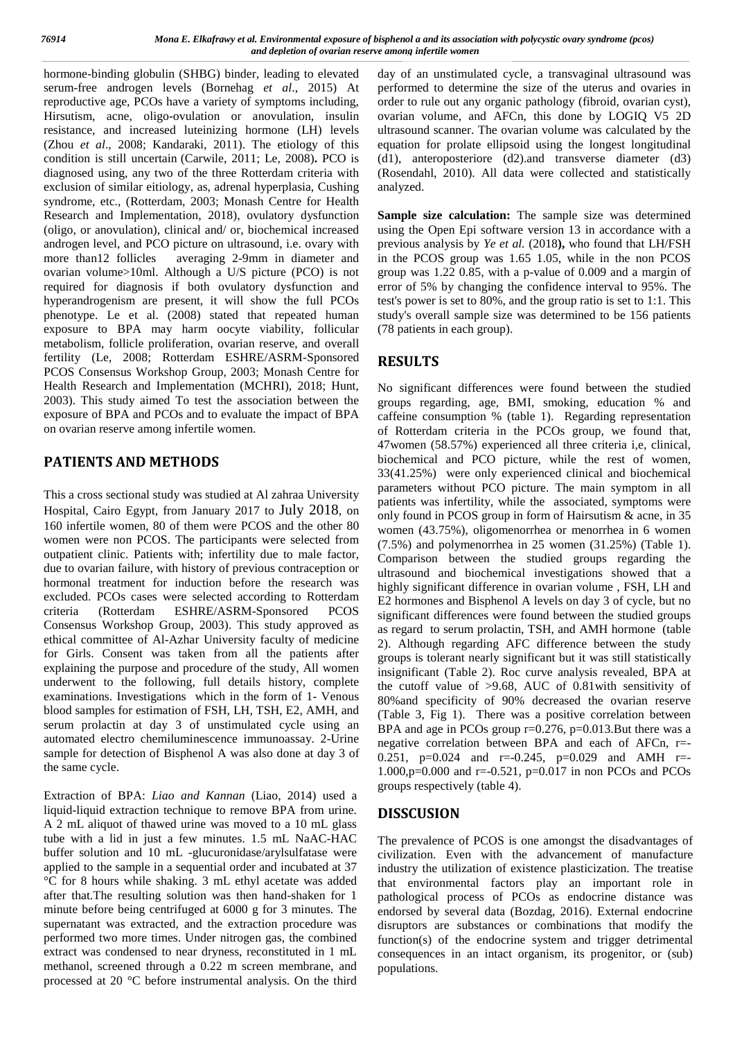hormone-binding globulin (SHBG) binder, leading to elevated serum-free androgen levels (Bornehag *et al*., 2015) At reproductive age, PCOs have a variety of symptoms including, Hirsutism, acne, oligo-ovulation or anovulation, insulin resistance, and increased luteinizing hormone (LH) levels (Zhou *et al*., 2008; Kandaraki, 2011). The etiology of this condition is still uncertain (Carwile, 2011; Le, 2008)**.** PCO is diagnosed using, any two of the three Rotterdam criteria with exclusion of similar eitiology, as, adrenal hyperplasia, Cushing syndrome, etc., (Rotterdam, 2003; Monash Centre for Health Research and Implementation, 2018), ovulatory dysfunction (oligo, or anovulation), clinical and/ or, biochemical increased androgen level, and PCO picture on ultrasound, i.e. ovary with more than12 follicles averaging 2-9mm in diameter and ovarian volume>10ml. Although a U/S picture (PCO) is not required for diagnosis if both ovulatory dysfunction and hyperandrogenism are present, it will show the full PCOs phenotype. Le et al. (2008) stated that repeated human exposure to BPA may harm oocyte viability, follicular metabolism, follicle proliferation, ovarian reserve, and overall fertility (Le, 2008; Rotterdam ESHRE/ASRM-Sponsored PCOS Consensus Workshop Group, 2003; Monash Centre for Health Research and Implementation (MCHRI), 2018; Hunt, 2003). This study aimed To test the association between the exposure of BPA and PCOs and to evaluate the impact of BPA on ovarian reserve among infertile women.

# **PATIENTS AND METHODS**

This a cross sectional study was studied at Al zahraa University Hospital, Cairo Egypt, from January 2017 to July 2018, on 160 infertile women, 80 of them were PCOS and the other 80 women were non PCOS. The participants were selected from outpatient clinic. Patients with; infertility due to male factor, due to ovarian failure, with history of previous contraception or hormonal treatment for induction before the research was excluded. PCOs cases were selected according to Rotterdam criteria (Rotterdam ESHRE/ASRM-Sponsored PCOS Consensus Workshop Group, 2003). This study approved as ethical committee of Al-Azhar University faculty of medicine for Girls. Consent was taken from all the patients after explaining the purpose and procedure of the study, All women underwent to the following, full details history, complete examinations. Investigations which in the form of 1- Venous blood samples for estimation of FSH, LH, TSH, E2, AMH, and serum prolactin at day 3 of unstimulated cycle using an automated electro chemiluminescence immunoassay. 2-Urine sample for detection of Bisphenol A was also done at day 3 of the same cycle.

Extraction of BPA: *Liao and Kannan* (Liao, 2014) used a liquid-liquid extraction technique to remove BPA from urine. A 2 mL aliquot of thawed urine was moved to a 10 mL glass tube with a lid in just a few minutes. 1.5 mL NaAC-HAC buffer solution and 10 mL -glucuronidase/arylsulfatase were applied to the sample in a sequential order and incubated at 37 °C for 8 hours while shaking. 3 mL ethyl acetate was added after that.The resulting solution was then hand-shaken for 1 minute before being centrifuged at 6000 g for 3 minutes. The supernatant was extracted, and the extraction procedure was performed two more times. Under nitrogen gas, the combined extract was condensed to near dryness, reconstituted in 1 mL methanol, screened through a 0.22 m screen membrane, and processed at 20 °C before instrumental analysis. On the third

day of an unstimulated cycle, a transvaginal ultrasound was performed to determine the size of the uterus and ovaries in order to rule out any organic pathology (fibroid, ovarian cyst), ovarian volume, and AFCn, this done by LOGIQ V5 2D ultrasound scanner. The ovarian volume was calculated by the equation for prolate ellipsoid using the longest longitudinal (d1), anteroposteriore (d2).and transverse diameter (d3) (Rosendahl, 2010). All data were collected and statistically analyzed.

**Sample size calculation:** The sample size was determined using the Open Epi software version 13 in accordance with a previous analysis by *Ye et al.* (2018**),** who found that LH/FSH in the PCOS group was 1.65 1.05, while in the non PCOS group was 1.22 0.85, with a p-value of 0.009 and a margin of error of 5% by changing the confidence interval to 95%. The test's power is set to 80%, and the group ratio is set to 1:1. This study's overall sample size was determined to be 156 patients (78 patients in each group).

# **RESULTS**

No significant differences were found between the studied groups regarding, age, BMI, smoking, education % and caffeine consumption % (table 1). Regarding representation of Rotterdam criteria in the PCOs group, we found that, 47women (58.57%) experienced all three criteria i,e, clinical, biochemical and PCO picture, while the rest of women, 33(41.25%) were only experienced clinical and biochemical parameters without PCO picture. The main symptom in all patients was infertility, while the associated, symptoms were only found in PCOS group in form of Hairsutism & acne, in 35 women (43.75%), oligomenorrhea or menorrhea in 6 women (7.5%) and polymenorrhea in 25 women (31.25%) (Table 1). Comparison between the studied groups regarding the ultrasound and biochemical investigations showed that a highly significant difference in ovarian volume , FSH, LH and E2 hormones and Bisphenol A levels on day 3 of cycle, but no significant differences were found between the studied groups as regard to serum prolactin, TSH, and AMH hormone (table 2). Although regarding AFC difference between the study groups is tolerant nearly significant but it was still statistically insignificant (Table 2). Roc curve analysis revealed, BPA at the cutoff value of >9.68, AUC of 0.81with sensitivity of 80%and specificity of 90% decreased the ovarian reserve (Table 3, Fig 1). There was a positive correlation between BPA and age in PCOs group r=0.276, p=0.013.But there was a negative correlation between BPA and each of AFCn, r=- 0.251, p=0.024 and r=-0.245, p=0.029 and AMH r=- 1.000,p=0.000 and r=-0.521, p=0.017 in non PCOs and PCOs groups respectively (table 4).

# **DISSCUSION**

The prevalence of PCOS is one amongst the disadvantages of civilization. Even with the advancement of manufacture industry the utilization of existence plasticization. The treatise that environmental factors play an important role in pathological process of PCOs as endocrine distance was endorsed by several data (Bozdag, 2016). External endocrine disruptors are substances or combinations that modify the function(s) of the endocrine system and trigger detrimental consequences in an intact organism, its progenitor, or (sub) populations.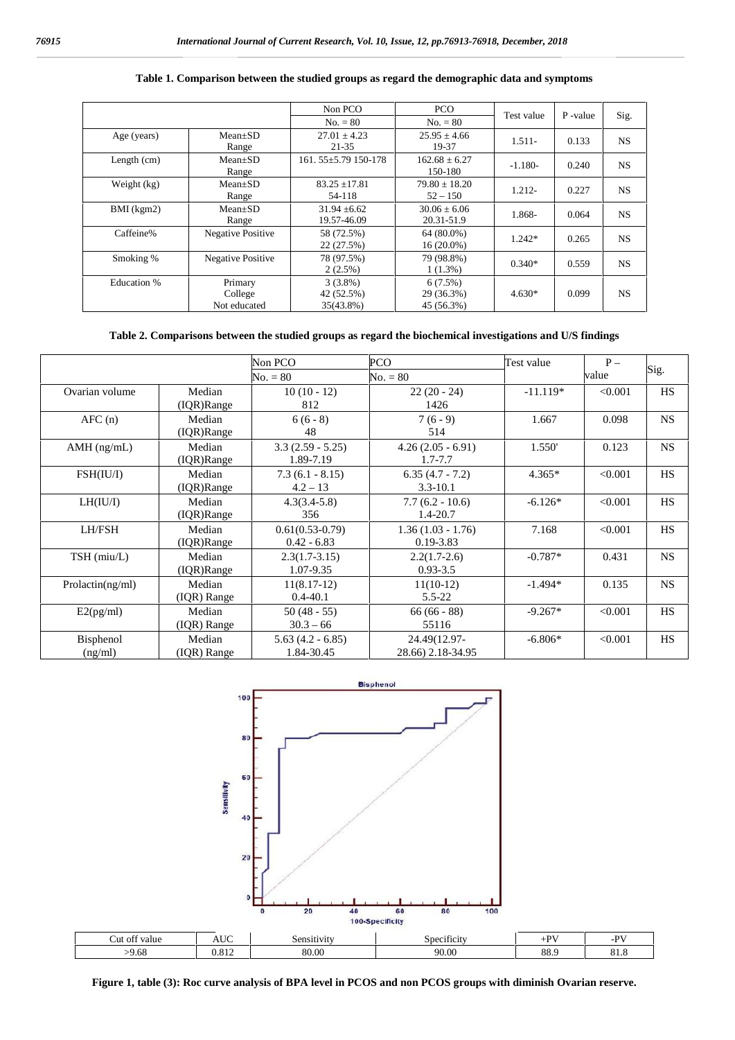|               |                                    | Non PCO                               | PCO                                 |            |         |           |
|---------------|------------------------------------|---------------------------------------|-------------------------------------|------------|---------|-----------|
|               |                                    | $No. = 80$                            | $No. = 80$                          | Test value | P-value | Sig.      |
| Age (years)   | $Mean+SD$<br>Range                 | $27.01 + 4.23$<br>$21 - 35$           | $25.95 \pm 4.66$<br>19-37           | $1.511-$   | 0.133   | <b>NS</b> |
| Length $(cm)$ | $Mean+SD$<br>Range                 | 161.55±5.79 150-178                   | $162.68 + 6.27$<br>150-180          | $-1.180-$  | 0.240   | <b>NS</b> |
| Weight (kg)   | $Mean \pm SD$<br>Range             | $83.25 + 17.81$<br>54-118             | $79.80 \pm 18.20$<br>$52 - 150$     | 1.212-     | 0.227   | <b>NS</b> |
| BMI (kgm2)    | $Mean+SD$<br>Range                 | $31.94 \pm 6.62$<br>19.57-46.09       | $30.06 + 6.06$<br>20.31-51.9        | 1.868-     | 0.064   | <b>NS</b> |
| Caffeine%     | <b>Negative Positive</b>           | 58 (72.5%)<br>22 (27.5%)              | 64 (80.0%)<br>$16(20.0\%)$          | $1.242*$   | 0.265   | <b>NS</b> |
| Smoking %     | <b>Negative Positive</b>           | 78 (97.5%)<br>$2(2.5\%)$              | 79 (98.8%)<br>$1(1.3\%)$            | $0.340*$   | 0.559   | <b>NS</b> |
| Education %   | Primary<br>College<br>Not educated | $3(3.8\%)$<br>42 (52.5%)<br>35(43.8%) | 6(7.5%)<br>29 (36.3%)<br>45 (56.3%) | $4.630*$   | 0.099   | <b>NS</b> |

#### **Table 1. Comparison between the studied groups as regard the demographic data and symptoms**

## **Table 2. Comparisons between the studied groups as regard the biochemical investigations and U/S findings**

|                      |                          | Non PCO<br>$No. = 80$              | <b>PCO</b><br>$No. = 80$             | Test value | $P -$<br>value | Sig.      |
|----------------------|--------------------------|------------------------------------|--------------------------------------|------------|----------------|-----------|
| Ovarian volume       | Median<br>$( IQR)$ Range | $10(10 - 12)$<br>812               | $22(20 - 24)$<br>1426                | $-11.119*$ | < 0.001        | <b>HS</b> |
| AFC(n)               | Median<br>$( IQR)$ Range | $6(6-8)$<br>48                     | $7(6-9)$<br>514                      | 1.667      | 0.098          | NS.       |
| $AMH$ (ng/mL)        | Median<br>$( IQR)$ Range | $3.3(2.59 - 5.25)$<br>1.89-7.19    | $4.26(2.05 - 6.91)$<br>$1.7 - 7.7$   | 1.550'     | 0.123          | <b>NS</b> |
| FSH(IU/I)            | Median<br>$( IQR)$ Range | $7.3(6.1 - 8.15)$<br>$4.2 - 13$    | $6.35(4.7 - 7.2)$<br>$3.3 - 10.1$    | $4.365*$   | < 0.001        | <b>HS</b> |
| LH(IU/I)             | Median<br>$( IQR)$ Range | $4.3(3.4-5.8)$<br>356              | $7.7(6.2 - 10.6)$<br>1.4-20.7        | $-6.126*$  | < 0.001        | <b>HS</b> |
| LH/FSH               | Median<br>$( IQR)$ Range | $0.61(0.53-0.79)$<br>$0.42 - 6.83$ | $1.36(1.03 - 1.76)$<br>$0.19 - 3.83$ | 7.168      | < 0.001        | <b>HS</b> |
| TSH (miu/L)          | Median<br>$( IQR)$ Range | $2.3(1.7-3.15)$<br>1.07-9.35       | $2.2(1.7-2.6)$<br>$0.93 - 3.5$       | $-0.787*$  | 0.431          | <b>NS</b> |
| Prolactin(ng/ml)     | Median<br>$( IQR)$ Range | $11(8.17-12)$<br>$0.4 - 40.1$      | $11(10-12)$<br>$5.5 - 22$            | $-1.494*$  | 0.135          | <b>NS</b> |
| E2(pg/ml)            | Median<br>$( IQR)$ Range | $50(48-55)$<br>$30.3 - 66$         | $66(66-88)$<br>55116                 | $-9.267*$  | < 0.001        | <b>HS</b> |
| Bisphenol<br>(ng/ml) | Median<br>$( IQR)$ Range | $5.63(4.2 - 6.85)$<br>1.84-30.45   | 24.49(12.97-<br>28.66) 2.18-34.95    | $-6.806*$  | < 0.001        | <b>HS</b> |



**Figure 1, table (3): Roc curve analysis of BPA level in PCOS and non PCOS groups with diminish Ovarian reserve.**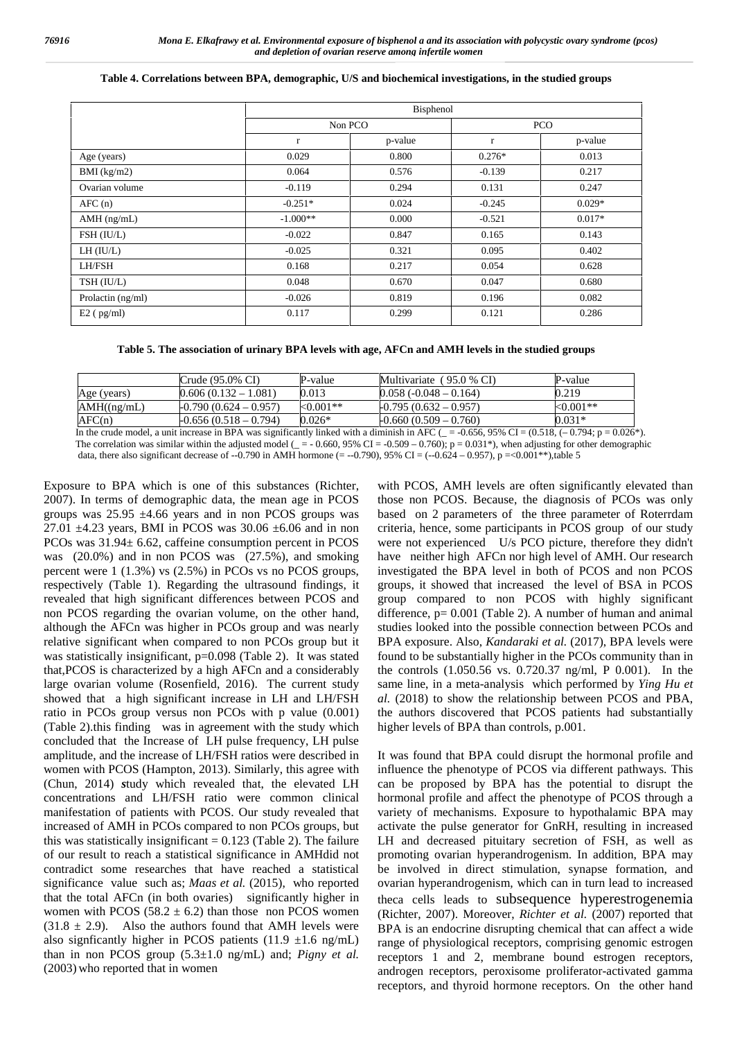|                   | Bisphenol   |         |          |            |  |
|-------------------|-------------|---------|----------|------------|--|
|                   | Non PCO     |         |          | <b>PCO</b> |  |
|                   | $\mathbf r$ | p-value | $\bf r$  | p-value    |  |
| Age (years)       | 0.029       | 0.800   | $0.276*$ | 0.013      |  |
| $BMI$ (kg/m2)     | 0.064       | 0.576   | $-0.139$ | 0.217      |  |
| Ovarian volume    | $-0.119$    | 0.294   | 0.131    | 0.247      |  |
| AFC(n)            | $-0.251*$   | 0.024   | $-0.245$ | $0.029*$   |  |
| $AMH$ (ng/mL)     | $-1.000**$  | 0.000   | $-0.521$ | $0.017*$   |  |
| FSH (IU/L)        | $-0.022$    | 0.847   | 0.165    | 0.143      |  |
| $LH$ ( $IU/L$ )   | $-0.025$    | 0.321   | 0.095    | 0.402      |  |
| LH/FSH            | 0.168       | 0.217   | 0.054    | 0.628      |  |
| TSH (IU/L)        | 0.048       | 0.670   | 0.047    | 0.680      |  |
| Prolactin (ng/ml) | $-0.026$    | 0.819   | 0.196    | 0.082      |  |
| $E2$ ( $pg/ml$ )  | 0.117       | 0.299   | 0.121    | 0.286      |  |

#### **Table 4. Correlations between BPA, demographic, U/S and biochemical investigations, in the studied groups**

**Table 5. The association of urinary BPA levels with age, AFCn and AMH levels in the studied groups**

|             | Crude (95.0% CI)        | P-value      | Multivariate (95.0 % CI) | P-value    |
|-------------|-------------------------|--------------|--------------------------|------------|
| Age (years) | $0.606(0.132 - 1.081)$  | 0.013        | $0.058(-0.048-0.164)$    | 0.219      |
| AMH((ng/mL) | $-0.790(0.624 - 0.957)$ | ${<}0.001**$ | $-0.795(0.632 - 0.957)$  | $<0.001**$ |
| AFC(n)      | $-0.656(0.518 - 0.794)$ | $0.026*$     | $-0.660(0.509 - 0.760)$  | $0.031*$   |

In the crude model, a unit increase in BPA was significantly linked with a diminish in AFC ( $= -0.656$ , 95% CI = (0.518, (-0.794; p = 0.026\*). The correlation was similar within the adjusted model ( $= -0.660, 95\%$  CI = -0.509 – 0.760); p = 0.031\*), when adjusting for other demographic data, there also significant decrease of --0.790 in AMH hormone (= --0.790), 95% CI = (--0.624 – 0.957), p = <0.001\*\*),table 5

Exposure to BPA which is one of this substances (Richter, 2007). In terms of demographic data, the mean age in PCOS groups was  $25.95 \pm 4.66$  years and in non PCOS groups was 27.01  $\pm$ 4.23 years, BMI in PCOS was 30.06  $\pm$ 6.06 and in non PCOs was 31.94± 6.62, caffeine consumption percent in PCOS was (20.0%) and in non PCOS was (27.5%), and smoking percent were 1 (1.3%) vs (2.5%) in PCOs vs no PCOS groups, respectively (Table 1). Regarding the ultrasound findings, it revealed that high significant differences between PCOS and non PCOS regarding the ovarian volume, on the other hand, although the AFCn was higher in PCOs group and was nearly relative significant when compared to non PCOs group but it was statistically insignificant, p=0.098 (Table 2). It was stated that,PCOS is characterized by a high AFCn and a considerably large ovarian volume (Rosenfield, 2016). The current study showed that a high significant increase in LH and LH/FSH ratio in PCOs group versus non PCOs with p value (0.001) (Table 2).this finding was in agreement with the study which concluded that the Increase of LH pulse frequency, LH pulse amplitude, and the increase of LH/FSH ratios were described in women with PCOS (Hampton, 2013). Similarly, this agree with (Chun, 2014) *s*tudy which revealed that, the elevated LH concentrations and LH/FSH ratio were common clinical manifestation of patients with PCOS. Our study revealed that increased of AMH in PCOs compared to non PCOs groups, but this was statistically insignificant  $= 0.123$  (Table 2). The failure of our result to reach a statistical significance in AMHdid not contradict some researches that have reached a statistical significance value such as; *Maas et al.* (2015), who reported that the total AFCn (in both ovaries) significantly higher in women with PCOS (58.2  $\pm$  6.2) than those non PCOS women  $(31.8 \pm 2.9)$ . Also the authors found that AMH levels were also signficantly higher in PCOS patients  $(11.9 \pm 1.6 \text{ ng/mL})$ than in non PCOS group (5.3±1.0 ng/mL) and; *Pigny et al.* (2003) who reported that in women

with PCOS, AMH levels are often significantly elevated than those non PCOS. Because, the diagnosis of PCOs was only based on 2 parameters of the three parameter of Roterrdam criteria, hence, some participants in PCOS group of our study were not experienced U/s PCO picture, therefore they didn't have neither high AFCn nor high level of AMH. Our research investigated the BPA level in both of PCOS and non PCOS groups, it showed that increased the level of BSA in PCOS group compared to non PCOS with highly significant difference, p= 0.001 (Table 2). A number of human and animal studies looked into the possible connection between PCOs and BPA exposure. Also, *Kandaraki et al.* (2017), BPA levels were found to be substantially higher in the PCOs community than in the controls (1.050.56 vs. 0.720.37 ng/ml, P 0.001). In the same line, in a meta-analysis which performed by *Ying Hu et al.* (2018) to show the relationship between PCOS and PBA, the authors discovered that PCOS patients had substantially higher levels of BPA than controls, p.001.

It was found that BPA could disrupt the hormonal profile and influence the phenotype of PCOS via different pathways. This can be proposed by BPA has the potential to disrupt the hormonal profile and affect the phenotype of PCOS through a variety of mechanisms. Exposure to hypothalamic BPA may activate the pulse generator for GnRH, resulting in increased LH and decreased pituitary secretion of FSH, as well as promoting ovarian hyperandrogenism. In addition, BPA may be involved in direct stimulation, synapse formation, and ovarian hyperandrogenism*,* which can in turn lead to increased theca cells leads to subsequence hyperestrogenemia (Richter, 2007). Moreover, *Richter et al.* (2007) reported that BPA is an endocrine disrupting chemical that can affect a wide range of physiological receptors, comprising genomic estrogen receptors 1 and 2, membrane bound estrogen receptors, androgen receptors, peroxisome proliferator-activated gamma receptors, and thyroid hormone receptors. On the other hand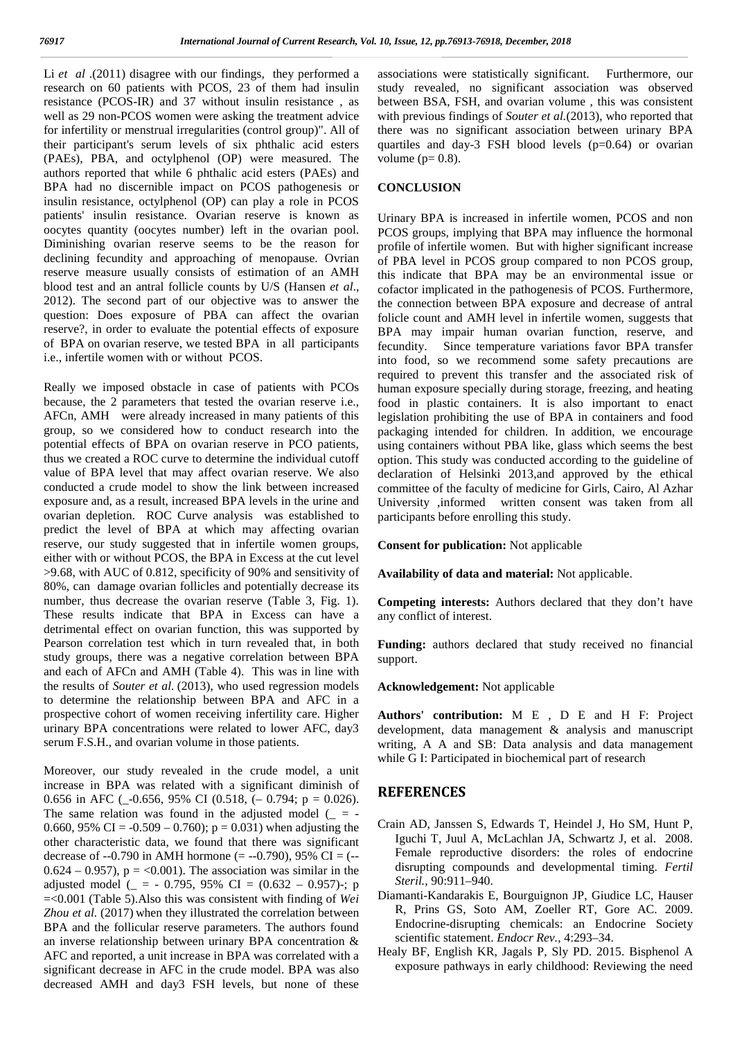Li *et al* .(2011) disagree with our findings, they performed a research on 60 patients with PCOS, 23 of them had insulin resistance (PCOS-IR) and 37 without insulin resistance , as well as 29 non-PCOS women were asking the treatment advice for infertility or menstrual irregularities (control group)". All of their participant's serum levels of six phthalic acid esters (PAEs), PBA, and octylphenol (OP) were measured. The authors reported that while 6 phthalic acid esters (PAEs) and BPA had no discernible impact on PCOS pathogenesis or insulin resistance, octylphenol (OP) can play a role in PCOS patients' insulin resistance. Ovarian reserve is known as oocytes quantity (oocytes number) left in the ovarian pool. Diminishing ovarian reserve seems to be the reason for declining fecundity and approaching of menopause. Ovrian reserve measure usually consists of estimation of an AMH blood test and an antral follicle counts by U/S (Hansen *et al*., 2012). The second part of our objective was to answer the question: Does exposure of PBA can affect the ovarian reserve?, in order to evaluate the potential effects of exposure of BPA on ovarian reserve, we tested BPA in all participants i.e., infertile women with or without PCOS.

Really we imposed obstacle in case of patients with PCOs because, the 2 parameters that tested the ovarian reserve i.e., AFCn, AMH were already increased in many patients of this group, so we considered how to conduct research into the potential effects of BPA on ovarian reserve in PCO patients, thus we created a ROC curve to determine the individual cutoff value of BPA level that may affect ovarian reserve. We also conducted a crude model to show the link between increased exposure and, as a result, increased BPA levels in the urine and ovarian depletion. ROC Curve analysis was established to predict the level of BPA at which may affecting ovarian reserve, our study suggested that in infertile women groups, either with or without PCOS, the BPA in Excess at the cut level >9.68, with AUC of 0.812, specificity of 90% and sensitivity of 80%, can damage ovarian follicles and potentially decrease its number, thus decrease the ovarian reserve (Table 3, Fig. 1). These results indicate that BPA in Excess can have a detrimental effect on ovarian function, this was supported by Pearson correlation test which in turn revealed that, in both study groups, there was a negative correlation between BPA and each of AFCn and AMH (Table 4). This was in line with the results of *Souter et al.* (2013), who used regression models to determine the relationship between BPA and AFC in a prospective cohort of women receiving infertility care. Higher urinary BPA concentrations were related to lower AFC, day3 serum F.S.H., and ovarian volume in those patients.

Moreover, our study revealed in the crude model, a unit increase in BPA was related with a significant diminish of 0.656 in AFC ( $-0.656$ , 95% CI (0.518, ( $-0.794$ ; p = 0.026). The same relation was found in the adjusted model  $($  = -0.660, 95% CI =  $-0.509 - 0.760$ ; p = 0.031) when adjusting the other characteristic data, we found that there was significant decrease of  $-0.790$  in AMH hormone (=  $-0.790$ ), 95% CI = ( $0.624 - 0.957$ ,  $p = <0.001$ ). The association was similar in the adjusted model ( $=$  - 0.795, 95% CI = (0.632 – 0.957)-; p =<0.001 (Table 5).Also this was consistent with finding of *Wei Zhou et al.* (2017) when they illustrated the correlation between BPA and the follicular reserve parameters. The authors found an inverse relationship between urinary BPA concentration & AFC and reported, a unit increase in BPA was correlated with a significant decrease in AFC in the crude model. BPA was also decreased AMH and day3 FSH levels, but none of these

associations were statistically significant. Furthermore, our study revealed, no significant association was observed between BSA, FSH, and ovarian volume , this was consistent with previous findings of *Souter et al.*(2013), who reported that there was no significant association between urinary BPA quartiles and day-3 FSH blood levels (p=0.64) or ovarian volume  $(p= 0.8)$ .

### **CONCLUSION**

Urinary BPA is increased in infertile women, PCOS and non PCOS groups, implying that BPA may influence the hormonal profile of infertile women. But with higher significant increase of PBA level in PCOS group compared to non PCOS group, this indicate that BPA may be an environmental issue or cofactor implicated in the pathogenesis of PCOS. Furthermore, the connection between BPA exposure and decrease of antral folicle count and AMH level in infertile women, suggests that BPA may impair human ovarian function, reserve, and fecundity. Since temperature variations favor BPA transfer into food, so we recommend some safety precautions are required to prevent this transfer and the associated risk of human exposure specially during storage, freezing, and heating food in plastic containers. It is also important to enact legislation prohibiting the use of BPA in containers and food packaging intended for children. In addition, we encourage using containers without PBA like, glass which seems the best option. This study was conducted according to the guideline of declaration of Helsinki 2013,and approved by the ethical committee of the faculty of medicine for Girls, Cairo, Al Azhar University ,informed written consent was taken from all participants before enrolling this study.

**Consent for publication:** Not applicable

**Availability of data and material:** Not applicable.

**Competing interests:** Authors declared that they don't have any conflict of interest.

**Funding:** authors declared that study received no financial support.

**Acknowledgement:** Not applicable

**Authors' contribution:** M E , D E and H F: Project development, data management & analysis and manuscript writing, A A and SB: Data analysis and data management while G I: Participated in biochemical part of research

## **REFERENCES**

- Crain AD, Janssen S, Edwards T, Heindel J, Ho SM, Hunt P, Iguchi T, Juul A, McLachlan JA, Schwartz J, et al. 2008. Female reproductive disorders: the roles of endocrine disrupting compounds and developmental timing. *Fertil Steril.,* 90:911–940.
- Diamanti-Kandarakis E, Bourguignon JP, Giudice LC, Hauser R, Prins GS, Soto AM, Zoeller RT, Gore AC. 2009. Endocrine-disrupting chemicals: an Endocrine Society scientific statement. *Endocr Rev.,* 4:293–34.
- Healy BF, English KR, Jagals P, Sly PD. 2015. Bisphenol A exposure pathways in early childhood: Reviewing the need